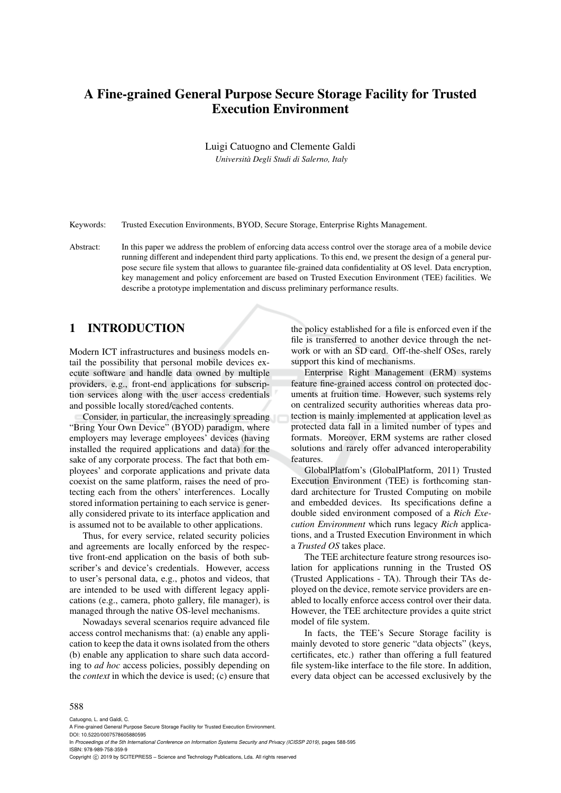# A Fine-grained General Purpose Secure Storage Facility for Trusted Execution Environment

Luigi Catuogno and Clemente Galdi

*Universita Degli Studi di Salerno, Italy `*

Keywords: Trusted Execution Environments, BYOD, Secure Storage, Enterprise Rights Management.

Abstract: In this paper we address the problem of enforcing data access control over the storage area of a mobile device running different and independent third party applications. To this end, we present the design of a general purpose secure file system that allows to guarantee file-grained data confidentiality at OS level. Data encryption, key management and policy enforcement are based on Trusted Execution Environment (TEE) facilities. We describe a prototype implementation and discuss preliminary performance results.

## 1 INTRODUCTION

Modern ICT infrastructures and business models entail the possibility that personal mobile devices execute software and handle data owned by multiple providers, e.g., front-end applications for subscription services along with the user access credentials and possible locally stored/cached contents.

Consider, in particular, the increasingly spreading "Bring Your Own Device" (BYOD) paradigm, where employers may leverage employees' devices (having installed the required applications and data) for the sake of any corporate process. The fact that both employees' and corporate applications and private data coexist on the same platform, raises the need of protecting each from the others' interferences. Locally stored information pertaining to each service is generally considered private to its interface application and is assumed not to be available to other applications.

Thus, for every service, related security policies and agreements are locally enforced by the respective front-end application on the basis of both subscriber's and device's credentials. However, access to user's personal data, e.g., photos and videos, that are intended to be used with different legacy applications (e.g., camera, photo gallery, file manager), is managed through the native OS-level mechanisms.

Nowadays several scenarios require advanced file access control mechanisms that: (a) enable any application to keep the data it owns isolated from the others (b) enable any application to share such data according to *ad hoc* access policies, possibly depending on the *context* in which the device is used; (c) ensure that the policy established for a file is enforced even if the file is transferred to another device through the network or with an SD card. Off-the-shelf OSes, rarely support this kind of mechanisms.

Enterprise Right Management (ERM) systems feature fine-grained access control on protected documents at fruition time. However, such systems rely on centralized security authorities whereas data protection is mainly implemented at application level as protected data fall in a limited number of types and formats. Moreover, ERM systems are rather closed solutions and rarely offer advanced interoperability features.

GlobalPlatfom's (GlobalPlatform, 2011) Trusted Execution Environment (TEE) is forthcoming standard architecture for Trusted Computing on mobile and embedded devices. Its specifications define a double sided environment composed of a *Rich Execution Environment* which runs legacy *Rich* applications, and a Trusted Execution Environment in which a *Trusted OS* takes place.

The TEE architecture feature strong resources isolation for applications running in the Trusted OS (Trusted Applications - TA). Through their TAs deployed on the device, remote service providers are enabled to locally enforce access control over their data. However, the TEE architecture provides a quite strict model of file system.

In facts, the TEE's Secure Storage facility is mainly devoted to store generic "data objects" (keys, certificates, etc.) rather than offering a full featured file system-like interface to the file store. In addition, every data object can be accessed exclusively by the

#### 588

Catuogno, L. and Galdi, C.

In *Proceedings of the 5th International Conference on Information Systems Security and Privacy (ICISSP 2019)*, pages 588-595 ISBN: 978-989-758-359-9

Copyright © 2019 by SCITEPRESS - Science and Technology Publications, Lda. All rights reserved

A Fine-grained General Purpose Secure Storage Facility for Trusted Execution Environment.

DOI: 10.5220/0007578605880595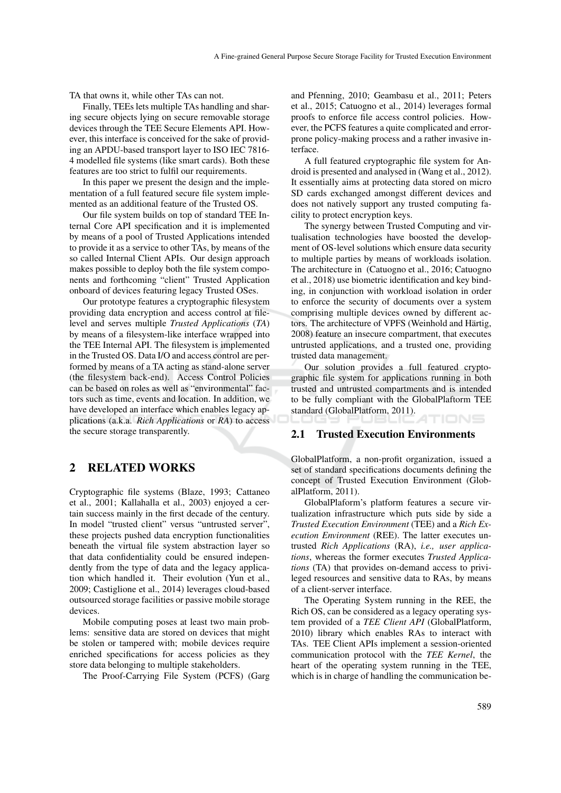TA that owns it, while other TAs can not.

Finally, TEEs lets multiple TAs handling and sharing secure objects lying on secure removable storage devices through the TEE Secure Elements API. However, this interface is conceived for the sake of providing an APDU-based transport layer to ISO IEC 7816- 4 modelled file systems (like smart cards). Both these features are too strict to fulfil our requirements.

In this paper we present the design and the implementation of a full featured secure file system implemented as an additional feature of the Trusted OS.

Our file system builds on top of standard TEE Internal Core API specification and it is implemented by means of a pool of Trusted Applications intended to provide it as a service to other TAs, by means of the so called Internal Client APIs. Our design approach makes possible to deploy both the file system components and forthcoming "client" Trusted Application onboard of devices featuring legacy Trusted OSes.

Our prototype features a cryptographic filesystem providing data encryption and access control at filelevel and serves multiple *Trusted Applications* (*TA*) by means of a filesystem-like interface wrapped into the TEE Internal API. The filesystem is implemented in the Trusted OS. Data I/O and access control are performed by means of a TA acting as stand-alone server (the filesystem back-end). Access Control Policies can be based on roles as well as "environmental" factors such as time, events and location. In addition, we have developed an interface which enables legacy applications (a.k.a. *Rich Applications* or *RA*) to access the secure storage transparently.

### 2 RELATED WORKS

Cryptographic file systems (Blaze, 1993; Cattaneo et al., 2001; Kallahalla et al., 2003) enjoyed a certain success mainly in the first decade of the century. In model "trusted client" versus "untrusted server", these projects pushed data encryption functionalities beneath the virtual file system abstraction layer so that data confidentiality could be ensured independently from the type of data and the legacy application which handled it. Their evolution (Yun et al., 2009; Castiglione et al., 2014) leverages cloud-based outsourced storage facilities or passive mobile storage devices.

Mobile computing poses at least two main problems: sensitive data are stored on devices that might be stolen or tampered with; mobile devices require enriched specifications for access policies as they store data belonging to multiple stakeholders.

The Proof-Carrying File System (PCFS) (Garg

and Pfenning, 2010; Geambasu et al., 2011; Peters et al., 2015; Catuogno et al., 2014) leverages formal proofs to enforce file access control policies. However, the PCFS features a quite complicated and errorprone policy-making process and a rather invasive interface.

A full featured cryptographic file system for Android is presented and analysed in (Wang et al., 2012). It essentially aims at protecting data stored on micro SD cards exchanged amongst different devices and does not natively support any trusted computing facility to protect encryption keys.

The synergy between Trusted Computing and virtualisation technologies have boosted the development of OS-level solutions which ensure data security to multiple parties by means of workloads isolation. The architecture in (Catuogno et al., 2016; Catuogno et al., 2018) use biometric identification and key binding, in conjunction with workload isolation in order to enforce the security of documents over a system comprising multiple devices owned by different actors. The architecture of VPFS (Weinhold and Härtig, 2008) feature an insecure compartment, that executes untrusted applications, and a trusted one, providing trusted data management.

Our solution provides a full featured cryptographic file system for applications running in both trusted and untrusted compartments and is intended to be fully compliant with the GlobalPlaftorm TEE standard (GlobalPlatform, 2011). TIONS

#### 2.1 Trusted Execution Environments

GlobalPlatform, a non-profit organization, issued a set of standard specifications documents defining the concept of Trusted Execution Environment (GlobalPlatform, 2011).

GlobalPlaform's platform features a secure virtualization infrastructure which puts side by side a *Trusted Execution Environment* (TEE) and a *Rich Execution Environment* (REE). The latter executes untrusted *Rich Applications* (RA), *i.e., user applications*, whereas the former executes *Trusted Applications* (TA) that provides on-demand access to privileged resources and sensitive data to RAs, by means of a client-server interface.

The Operating System running in the REE, the Rich OS, can be considered as a legacy operating system provided of a *TEE Client API* (GlobalPlatform, 2010) library which enables RAs to interact with TAs. TEE Client APIs implement a session-oriented communication protocol with the *TEE Kernel*, the heart of the operating system running in the TEE, which is in charge of handling the communication be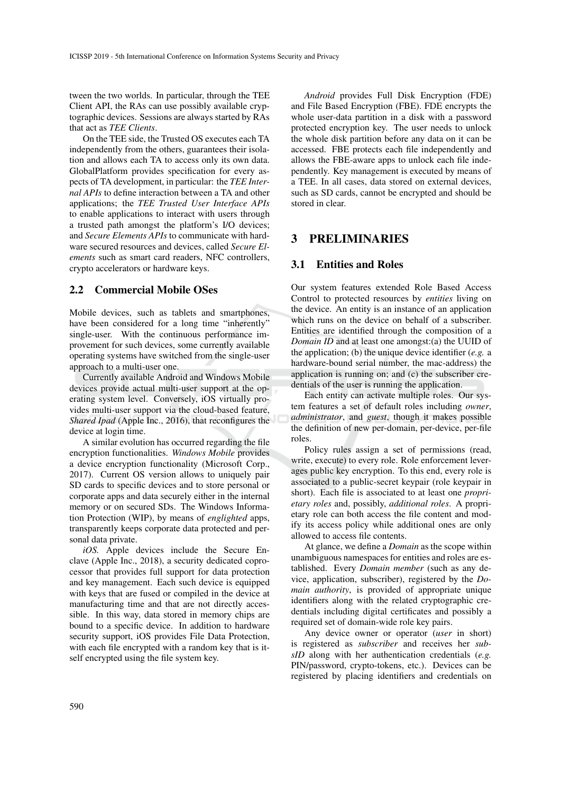tween the two worlds. In particular, through the TEE Client API, the RAs can use possibly available cryptographic devices. Sessions are always started by RAs that act as *TEE Clients*.

On the TEE side, the Trusted OS executes each TA independently from the others, guarantees their isolation and allows each TA to access only its own data. GlobalPlatform provides specification for every aspects of TA development, in particular: the *TEE Internal APIs* to define interaction between a TA and other applications; the *TEE Trusted User Interface APIs* to enable applications to interact with users through a trusted path amongst the platform's I/O devices; and *Secure Elements APIs* to communicate with hardware secured resources and devices, called *Secure Elements* such as smart card readers, NFC controllers, crypto accelerators or hardware keys.

### 2.2 Commercial Mobile OSes

Mobile devices, such as tablets and smartphones, have been considered for a long time "inherently" single-user. With the continuous performance improvement for such devices, some currently available operating systems have switched from the single-user approach to a multi-user one.

Currently available Android and Windows Mobile devices provide actual multi-user support at the operating system level. Conversely, iOS virtually provides multi-user support via the cloud-based feature, *Shared Ipad* (Apple Inc., 2016), that reconfigures the device at login time.

A similar evolution has occurred regarding the file encryption functionalities. *Windows Mobile* provides a device encryption functionality (Microsoft Corp., 2017). Current OS version allows to uniquely pair SD cards to specific devices and to store personal or corporate apps and data securely either in the internal memory or on secured SDs. The Windows Information Protection (WIP), by means of *englighted* apps, transparently keeps corporate data protected and personal data private.

*iOS.* Apple devices include the Secure Enclave (Apple Inc., 2018), a security dedicated coprocessor that provides full support for data protection and key management. Each such device is equipped with keys that are fused or compiled in the device at manufacturing time and that are not directly accessible. In this way, data stored in memory chips are bound to a specific device. In addition to hardware security support, iOS provides File Data Protection, with each file encrypted with a random key that is itself encrypted using the file system key.

*Android* provides Full Disk Encryption (FDE) and File Based Encryption (FBE). FDE encrypts the whole user-data partition in a disk with a password protected encryption key. The user needs to unlock the whole disk partition before any data on it can be accessed. FBE protects each file independently and allows the FBE-aware apps to unlock each file independently. Key management is executed by means of a TEE. In all cases, data stored on external devices, such as SD cards, cannot be encrypted and should be stored in clear.

### 3 PRELIMINARIES

### 3.1 Entities and Roles

Our system features extended Role Based Access Control to protected resources by *entities* living on the device. An entity is an instance of an application which runs on the device on behalf of a subscriber. Entities are identified through the composition of a *Domain ID* and at least one amongst:(a) the UUID of the application; (b) the unique device identifier (*e.g.* a hardware-bound serial number, the mac-address) the application is running on; and (c) the subscriber credentials of the user is running the application.

Each entity can activate multiple roles. Our system features a set of default roles including *owner*, *administrator*, and *guest*, though it makes possible the definition of new per-domain, per-device, per-file roles.

Policy rules assign a set of permissions (read, write, execute) to every role. Role enforcement leverages public key encryption. To this end, every role is associated to a public-secret keypair (role keypair in short). Each file is associated to at least one *proprietary roles* and, possibly, *additional roles*. A proprietary role can both access the file content and modify its access policy while additional ones are only allowed to access file contents.

At glance, we define a *Domain* as the scope within unambiguous namespaces for entities and roles are established. Every *Domain member* (such as any device, application, subscriber), registered by the *Domain authority*, is provided of appropriate unique identifiers along with the related cryptographic credentials including digital certificates and possibly a required set of domain-wide role key pairs.

Any device owner or operator (*user* in short) is registered as *subscriber* and receives her *subsID* along with her authentication credentials (*e.g.* PIN/password, crypto-tokens, etc.). Devices can be registered by placing identifiers and credentials on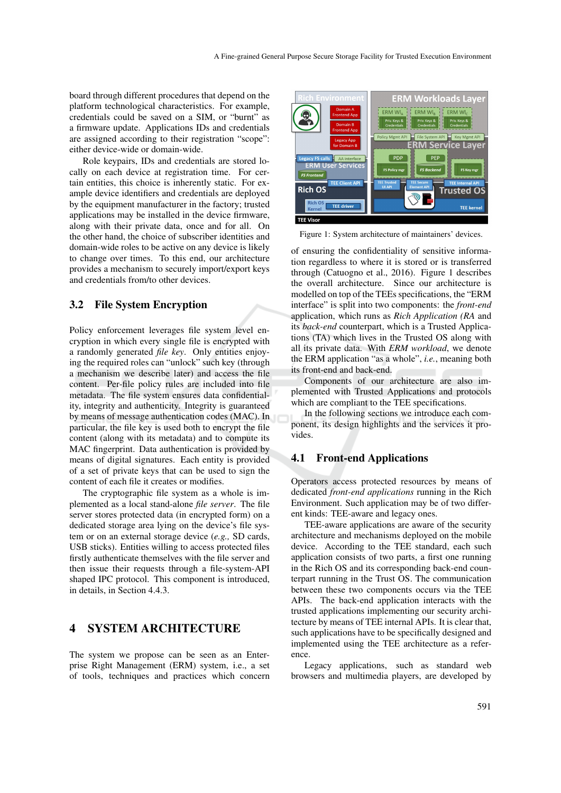board through different procedures that depend on the platform technological characteristics. For example, credentials could be saved on a SIM, or "burnt" as a firmware update. Applications IDs and credentials are assigned according to their registration "scope": either device-wide or domain-wide.

Role keypairs, IDs and credentials are stored locally on each device at registration time. For certain entities, this choice is inherently static. For example device identifiers and credentials are deployed by the equipment manufacturer in the factory; trusted applications may be installed in the device firmware, along with their private data, once and for all. On the other hand, the choice of subscriber identities and domain-wide roles to be active on any device is likely to change over times. To this end, our architecture provides a mechanism to securely import/export keys and credentials from/to other devices.

### 3.2 File System Encryption

Policy enforcement leverages file system level encryption in which every single file is encrypted with a randomly generated *file key*. Only entities enjoying the required roles can "unlock" such key (through a mechanism we describe later) and access the file content. Per-file policy rules are included into file metadata. The file system ensures data confidentiality, integrity and authenticity. Integrity is guaranteed by means of message authentication codes (MAC). In particular, the file key is used both to encrypt the file content (along with its metadata) and to compute its MAC fingerprint. Data authentication is provided by means of digital signatures. Each entity is provided of a set of private keys that can be used to sign the content of each file it creates or modifies.

The cryptographic file system as a whole is implemented as a local stand-alone *file server*. The file server stores protected data (in encrypted form) on a dedicated storage area lying on the device's file system or on an external storage device (*e.g.,* SD cards, USB sticks). Entities willing to access protected files firstly authenticate themselves with the file server and then issue their requests through a file-system-API shaped IPC protocol. This component is introduced, in details, in Section 4.4.3.

### 4 SYSTEM ARCHITECTURE

The system we propose can be seen as an Enterprise Right Management (ERM) system, i.e., a set of tools, techniques and practices which concern



Figure 1: System architecture of maintainers' devices.

of ensuring the confidentiality of sensitive information regardless to where it is stored or is transferred through (Catuogno et al., 2016). Figure 1 describes the overall architecture. Since our architecture is modelled on top of the TEEs specifications, the "ERM interface" is split into two components: the *front-end* application, which runs as *Rich Application (RA* and its *back-end* counterpart, which is a Trusted Applications (TA) which lives in the Trusted OS along with all its private data. With *ERM workload*, we denote the ERM application "as a whole", *i.e.*, meaning both its front-end and back-end.

Components of our architecture are also implemented with Trusted Applications and protocols which are compliant to the TEE specifications.

In the following sections we introduce each component, its design highlights and the services it provides.

### 4.1 Front-end Applications

Operators access protected resources by means of dedicated *front-end applications* running in the Rich Environment. Such application may be of two different kinds: TEE-aware and legacy ones.

TEE-aware applications are aware of the security architecture and mechanisms deployed on the mobile device. According to the TEE standard, each such application consists of two parts, a first one running in the Rich OS and its corresponding back-end counterpart running in the Trust OS. The communication between these two components occurs via the TEE APIs. The back-end application interacts with the trusted applications implementing our security architecture by means of TEE internal APIs. It is clear that, such applications have to be specifically designed and implemented using the TEE architecture as a reference.

Legacy applications, such as standard web browsers and multimedia players, are developed by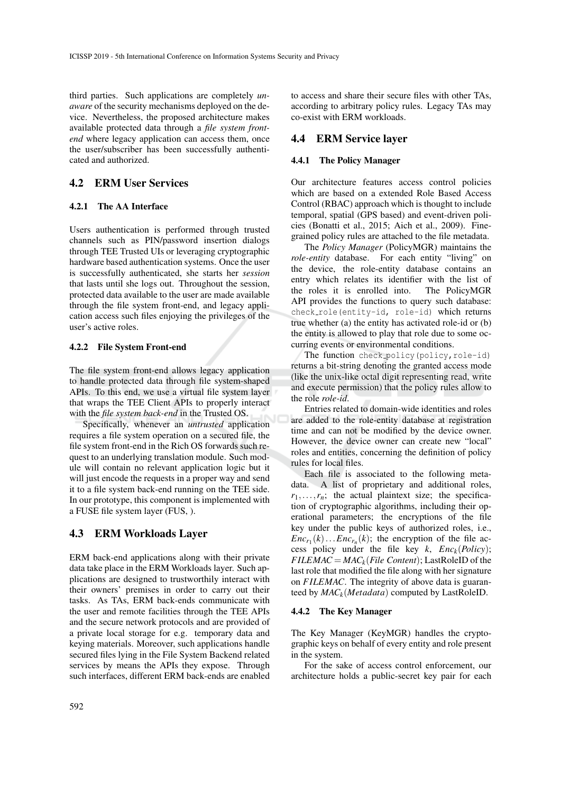third parties. Such applications are completely *unaware* of the security mechanisms deployed on the device. Nevertheless, the proposed architecture makes available protected data through a *file system frontend* where legacy application can access them, once the user/subscriber has been successfully authenticated and authorized.

### 4.2 ERM User Services

#### 4.2.1 The AA Interface

Users authentication is performed through trusted channels such as PIN/password insertion dialogs through TEE Trusted UIs or leveraging cryptographic hardware based authentication systems. Once the user is successfully authenticated, she starts her *session* that lasts until she logs out. Throughout the session, protected data available to the user are made available through the file system front-end, and legacy application access such files enjoying the privileges of the user's active roles.

#### 4.2.2 File System Front-end

The file system front-end allows legacy application to handle protected data through file system-shaped APIs. To this end, we use a virtual file system layer that wraps the TEE Client APIs to properly interact with the *file system back-end* in the Trusted OS.

Specifically, whenever an *untrusted* application requires a file system operation on a secured file, the file system front-end in the Rich OS forwards such request to an underlying translation module. Such module will contain no relevant application logic but it will just encode the requests in a proper way and send it to a file system back-end running on the TEE side. In our prototype, this component is implemented with a FUSE file system layer (FUS, ).

### 4.3 ERM Workloads Layer

ERM back-end applications along with their private data take place in the ERM Workloads layer. Such applications are designed to trustworthily interact with their owners' premises in order to carry out their tasks. As TAs, ERM back-ends communicate with the user and remote facilities through the TEE APIs and the secure network protocols and are provided of a private local storage for e.g. temporary data and keying materials. Moreover, such applications handle secured files lying in the File System Backend related services by means the APIs they expose. Through such interfaces, different ERM back-ends are enabled

to access and share their secure files with other TAs, according to arbitrary policy rules. Legacy TAs may co-exist with ERM workloads.

### 4.4 ERM Service layer

#### 4.4.1 The Policy Manager

Our architecture features access control policies which are based on a extended Role Based Access Control (RBAC) approach which is thought to include temporal, spatial (GPS based) and event-driven policies (Bonatti et al., 2015; Aich et al., 2009). Finegrained policy rules are attached to the file metadata.

The *Policy Manager* (PolicyMGR) maintains the *role-entity* database. For each entity "living" on the device, the role-entity database contains an entry which relates its identifier with the list of the roles it is enrolled into. The PolicyMGR API provides the functions to query such database: check\_role(entity-id, role-id) which returns true whether (a) the entity has activated role-id or (b) the entity is allowed to play that role due to some occurring events or environmental conditions.

The function check\_policy(policy, role-id) returns a bit-string denoting the granted access mode (like the unix-like octal digit representing read, write and execute permission) that the policy rules allow to the role *role-id*.

Entries related to domain-wide identities and roles are added to the role-entity database at registration time and can not be modified by the device owner. However, the device owner can create new "local" roles and entities, concerning the definition of policy rules for local files.

Each file is associated to the following metadata. A list of proprietary and additional roles,  $r_1, \ldots, r_n$ ; the actual plaintext size; the specification of cryptographic algorithms, including their operational parameters; the encryptions of the file key under the public keys of authorized roles, i.e.,  $Enc_{r_1}(k) \dots Enc_{r_n}(k)$ ; the encryption of the file access policy under the file key  $k$ ,  $Enc_k(Policy)$ ;  $FILEMAC = MAC_k (File Content); LastRoleID of the$ last role that modified the file along with her signature on *F ILEMAC*. The integrity of above data is guaranteed by *MACk*(*Metadata*) computed by LastRoleID.

#### 4.4.2 The Key Manager

The Key Manager (KeyMGR) handles the cryptographic keys on behalf of every entity and role present in the system.

For the sake of access control enforcement, our architecture holds a public-secret key pair for each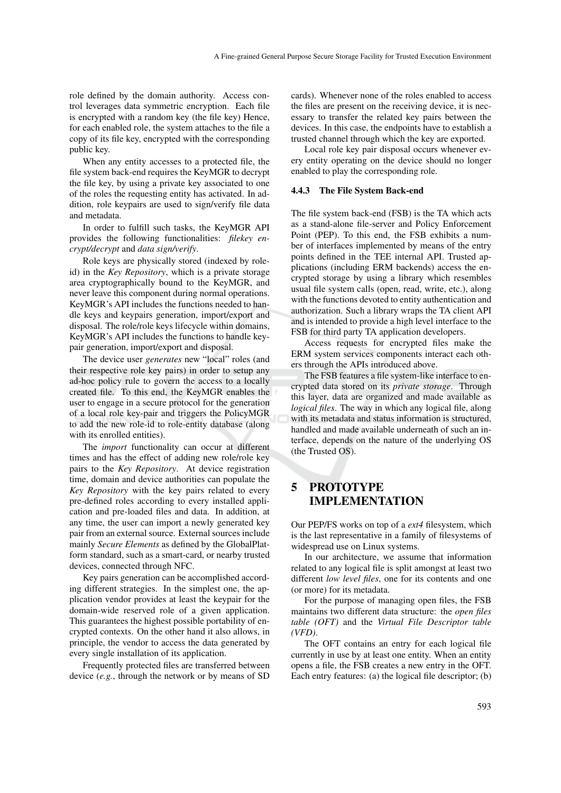role defined by the domain authority. Access control leverages data symmetric encryption. Each file is encrypted with a random key (the file key) Hence, for each enabled role, the system attaches to the file a copy of its file key, encrypted with the corresponding public key.

When any entity accesses to a protected file, the file system back-end requires the KeyMGR to decrypt the file key, by using a private key associated to one of the roles the requesting entity has activated. In addition, role keypairs are used to sign/verify file data and metadata.

In order to fulfill such tasks, the KeyMGR API provides the following functionalities: *filekey encrypt/decrypt* and *data sign/verify*.

Role keys are physically stored (indexed by roleid) in the *Key Repository*, which is a private storage area cryptographically bound to the KeyMGR, and never leave this component during normal operations. KeyMGR's API includes the functions needed to handle keys and keypairs generation, import/export and disposal. The role/role keys lifecycle within domains, KeyMGR's API includes the functions to handle keypair generation, import/export and disposal.

The device user *generates* new "local" roles (and their respective role key pairs) in order to setup any ad-hoc policy rule to govern the access to a locally created file. To this end, the KeyMGR enables the user to engage in a secure protocol for the generation of a local role key-pair and triggers the PolicyMGR to add the new role-id to role-entity database (along with its enrolled entities).

The *import* functionality can occur at different times and has the effect of adding new role/role key pairs to the *Key Repository*. At device registration time, domain and device authorities can populate the *Key Repository* with the key pairs related to every pre-defined roles according to every installed application and pre-loaded files and data. In addition, at any time, the user can import a newly generated key pair from an external source. External sources include mainly *Secure Elements* as defined by the GlobalPlatform standard, such as a smart-card, or nearby trusted devices, connected through NFC.

Key pairs generation can be accomplished according different strategies. In the simplest one, the application vendor provides at least the keypair for the domain-wide reserved role of a given application. This guarantees the highest possible portability of encrypted contexts. On the other hand it also allows, in principle, the vendor to access the data generated by every single installation of its application.

Frequently protected files are transferred between device (*e.g.*, through the network or by means of SD cards). Whenever none of the roles enabled to access the files are present on the receiving device, it is necessary to transfer the related key pairs between the devices. In this case, the endpoints have to establish a trusted channel through which the key are exported.

Local role key pair disposal occurs whenever every entity operating on the device should no longer enabled to play the corresponding role.

#### 4.4.3 The File System Back-end

The file system back-end (FSB) is the TA which acts as a stand-alone file-server and Policy Enforcement Point (PEP). To this end, the FSB exhibits a number of interfaces implemented by means of the entry points defined in the TEE internal API. Trusted applications (including ERM backends) access the encrypted storage by using a library which resembles usual file system calls (open, read, write, etc.), along with the functions devoted to entity authentication and authorization. Such a library wraps the TA client API and is intended to provide a high level interface to the FSB for third party TA application developers.

Access requests for encrypted files make the ERM system services components interact each others through the APIs introduced above.

The FSB features a file system-like interface to encrypted data stored on its *private storage*. Through this layer, data are organized and made available as *logical files*. The way in which any logical file, along with its metadata and status information is structured, handled and made available underneath of such an interface, depends on the nature of the underlying OS (the Trusted OS).

## 5 PROTOTYPE IMPLEMENTATION

Our PEP/FS works on top of a *ext4* filesystem, which is the last representative in a family of filesystems of widespread use on Linux systems.

In our architecture, we assume that information related to any logical file is split amongst at least two different *low level files*, one for its contents and one (or more) for its metadata.

For the purpose of managing open files, the FSB maintains two different data structure: the *open files table (OFT)* and the *Virtual File Descriptor table (VFD)*.

The OFT contains an entry for each logical file currently in use by at least one entity. When an entity opens a file, the FSB creates a new entry in the OFT. Each entry features: (a) the logical file descriptor; (b)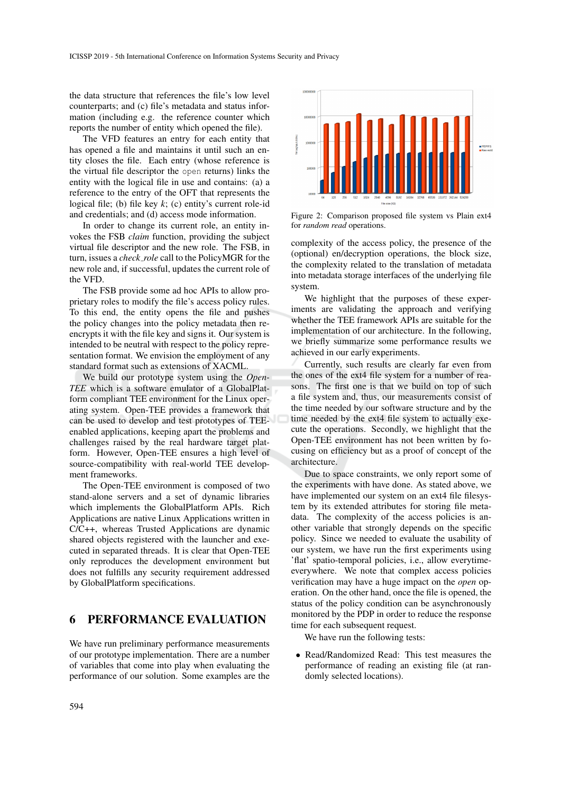the data structure that references the file's low level counterparts; and (c) file's metadata and status information (including e.g. the reference counter which reports the number of entity which opened the file).

The VFD features an entry for each entity that has opened a file and maintains it until such an entity closes the file. Each entry (whose reference is the virtual file descriptor the open returns) links the entity with the logical file in use and contains: (a) a reference to the entry of the OFT that represents the logical file; (b) file key *k*; (c) entity's current role-id and credentials; and (d) access mode information.

In order to change its current role, an entity invokes the FSB *claim* function, providing the subject virtual file descriptor and the new role. The FSB, in turn, issues a *check role* call to the PolicyMGR for the new role and, if successful, updates the current role of the VFD.

The FSB provide some ad hoc APIs to allow proprietary roles to modify the file's access policy rules. To this end, the entity opens the file and pushes the policy changes into the policy metadata then reencrypts it with the file key and signs it. Our system is intended to be neutral with respect to the policy representation format. We envision the employment of any standard format such as extensions of XACML.

We build our prototype system using the *Open-TEE* which is a software emulator of a GlobalPlatform compliant TEE environment for the Linux operating system. Open-TEE provides a framework that can be used to develop and test prototypes of TEEenabled applications, keeping apart the problems and challenges raised by the real hardware target platform. However, Open-TEE ensures a high level of source-compatibility with real-world TEE development frameworks.

The Open-TEE environment is composed of two stand-alone servers and a set of dynamic libraries which implements the GlobalPlatform APIs. Rich Applications are native Linux Applications written in C/C++, whereas Trusted Applications are dynamic shared objects registered with the launcher and executed in separated threads. It is clear that Open-TEE only reproduces the development environment but does not fulfills any security requirement addressed by GlobalPlatform specifications.

# 6 PERFORMANCE EVALUATION

We have run preliminary performance measurements of our prototype implementation. There are a number of variables that come into play when evaluating the performance of our solution. Some examples are the



Figure 2: Comparison proposed file system vs Plain ext4 for *random read* operations.

complexity of the access policy, the presence of the (optional) en/decryption operations, the block size, the complexity related to the translation of metadata into metadata storage interfaces of the underlying file system.

We highlight that the purposes of these experiments are validating the approach and verifying whether the TEE framework APIs are suitable for the implementation of our architecture. In the following, we briefly summarize some performance results we achieved in our early experiments.

Currently, such results are clearly far even from the ones of the ext4 file system for a number of reasons. The first one is that we build on top of such a file system and, thus, our measurements consist of the time needed by our software structure and by the time needed by the ext4 file system to actually execute the operations. Secondly, we highlight that the Open-TEE environment has not been written by focusing on efficiency but as a proof of concept of the architecture.

Due to space constraints, we only report some of the experiments with have done. As stated above, we have implemented our system on an ext4 file filesystem by its extended attributes for storing file metadata. The complexity of the access policies is another variable that strongly depends on the specific policy. Since we needed to evaluate the usability of our system, we have run the first experiments using 'flat' spatio-temporal policies, i.e., allow everytimeeverywhere. We note that complex access policies verification may have a huge impact on the *open* operation. On the other hand, once the file is opened, the status of the policy condition can be asynchronously monitored by the PDP in order to reduce the response time for each subsequent request.

We have run the following tests:

• Read/Randomized Read: This test measures the performance of reading an existing file (at randomly selected locations).